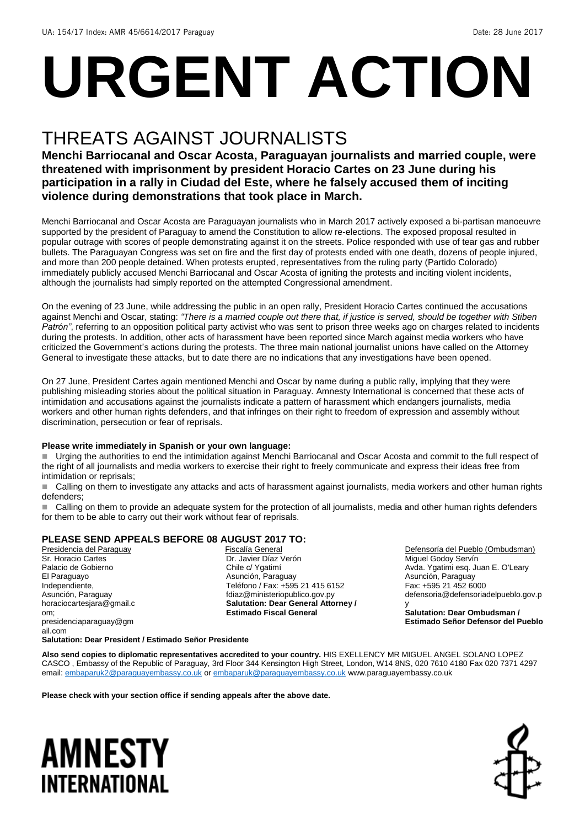# **URGENT ACTION**

## THREATS AGAINST JOURNALISTS

**Menchi Barriocanal and Oscar Acosta, Paraguayan journalists and married couple, were threatened with imprisonment by president Horacio Cartes on 23 June during his participation in a rally in Ciudad del Este, where he falsely accused them of inciting violence during demonstrations that took place in March.**

Menchi Barriocanal and Oscar Acosta are Paraguayan journalists who in March 2017 actively exposed a bi-partisan manoeuvre supported by the president of Paraguay to amend the Constitution to allow re-elections. The exposed proposal resulted in popular outrage with scores of people demonstrating against it on the streets. Police responded with use of tear gas and rubber bullets. The Paraguayan Congress was set on fire and the first day of protests ended with one death, dozens of people injured, and more than 200 people detained. When protests erupted, representatives from the ruling party (Partido Colorado) immediately publicly accused Menchi Barriocanal and Oscar Acosta of igniting the protests and inciting violent incidents, although the journalists had simply reported on the attempted Congressional amendment.

On the evening of 23 June, while addressing the public in an open rally, President Horacio Cartes continued the accusations against Menchi and Oscar, stating: *"There is a married couple out there that, if justice is served, should be together with Stiben Patrón"*, referring to an opposition political party activist who was sent to prison three weeks ago on charges related to incidents during the protests. In addition, other acts of harassment have been reported since March against media workers who have criticized the Government's actions during the protests. The three main national journalist unions have called on the Attorney General to investigate these attacks, but to date there are no indications that any investigations have been opened.

On 27 June, President Cartes again mentioned Menchi and Oscar by name during a public rally, implying that they were publishing misleading stories about the political situation in Paraguay. Amnesty International is concerned that these acts of intimidation and accusations against the journalists indicate a pattern of harassment which endangers journalists, media workers and other human rights defenders, and that infringes on their right to freedom of expression and assembly without discrimination, persecution or fear of reprisals.

#### **Please write immediately in Spanish or your own language:**

 Urging the authorities to end the intimidation against Menchi Barriocanal and Oscar Acosta and commit to the full respect of the right of all journalists and media workers to exercise their right to freely communicate and express their ideas free from intimidation or reprisals;

■ Calling on them to investigate any attacks and acts of harassment against journalists, media workers and other human rights defenders;

 Calling on them to provide an adequate system for the protection of all journalists, media and other human rights defenders for them to be able to carry out their work without fear of reprisals.

#### **PLEASE SEND APPEALS BEFORE 08 AUGUST 2017 TO:**

Presidencia del Paraguay Sr. Horacio Cartes Palacio de Gobierno El Paraguayo Independiente, Asunción, Paraguay horaciocartesjara@gmail.c om; presidenciaparaguay@gm ail.com

 Fiscalía General Dr. Javier Díaz Verón Chile c/ Ygatimí Asunción, Paraguay Teléfono / Fax: +595 21 415 6152 fdiaz@ministeriopublico.gov.py **Salutation: Dear General Attorney / Estimado Fiscal General**

Defensoría del Pueblo (Ombudsman) Miguel Godoy Servín Avda. Ygatimi esq. Juan E. O'Leary Asunción, Paraguay Fax: +595 21 452 6000 defensoria@defensoriadelpueblo.gov.p y

**Salutation: Dear Ombudsman / Estimado Señor Defensor del Pueblo**

#### **Salutation: Dear President / Estimado Señor Presidente**

**Also send copies to diplomatic representatives accredited to your country.** HIS EXELLENCY MR MIGUEL ANGEL SOLANO LOPEZ CASCO , Embassy of the Republic of Paraguay, 3rd Floor 344 Kensington High Street, London, W14 8NS, 020 7610 4180 Fax 020 7371 4297 email[: embaparuk2@paraguayembassy.co.uk](mailto:embaparuk2@paraguayembassy.co.uk) o[r embaparuk@paraguayembassy.co.uk](mailto:embaparuk@paraguayembassy.co.uk) www.paraguayembassy.co.uk

**Please check with your section office if sending appeals after the above date.**